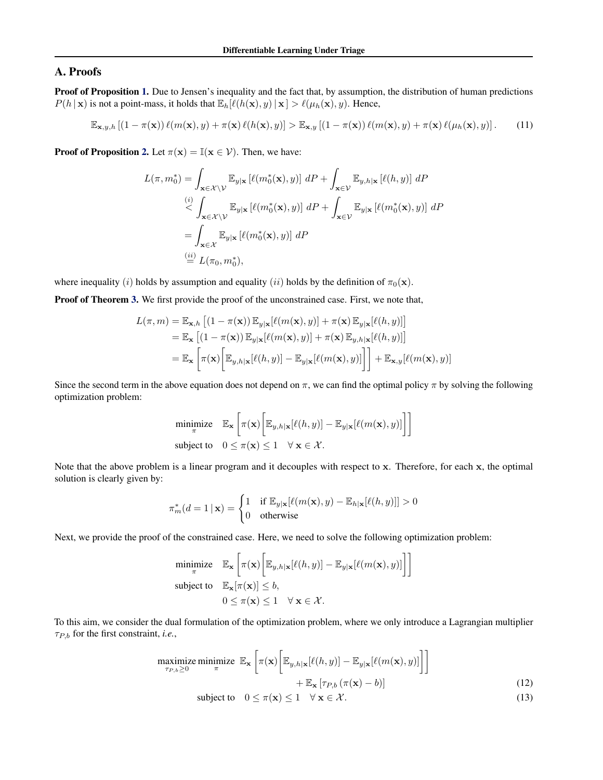# A. Proofs

Proof of Proposition 1. Due to Jensen's inequality and the fact that, by assumption, the distribution of human predictions  $P(h | \mathbf{x})$  is not a point-mass, it holds that  $\mathbb{E}_h[\ell(h(\mathbf{x}), y) | \mathbf{x}] > \ell(\mu_h(\mathbf{x}), y)$ . Hence,

$$
\mathbb{E}_{\mathbf{x},y,h} \left[ (1-\pi(\mathbf{x})) \ell(m(\mathbf{x}),y) + \pi(\mathbf{x}) \ell(h(\mathbf{x}),y) \right] > \mathbb{E}_{\mathbf{x},y} \left[ (1-\pi(\mathbf{x})) \ell(m(\mathbf{x}),y) + \pi(\mathbf{x}) \ell(\mu_h(\mathbf{x}),y) \right]. \tag{11}
$$

**Proof of Proposition 2.** Let  $\pi(\mathbf{x}) = \mathbb{I}(\mathbf{x} \in \mathcal{V})$ . Then, we have:

$$
L(\pi, m_0^*) = \int_{\mathbf{x} \in \mathcal{X} \backslash \mathcal{V}} \mathbb{E}_{y|\mathbf{x}} \left[ \ell(m_0^*(\mathbf{x}), y) \right] dP + \int_{\mathbf{x} \in \mathcal{V}} \mathbb{E}_{y, h|\mathbf{x}} \left[ \ell(h, y) \right] dP
$$
  
\n
$$
\stackrel{(i)}{\leq} \int_{\mathbf{x} \in \mathcal{X} \backslash \mathcal{V}} \mathbb{E}_{y|\mathbf{x}} \left[ \ell(m_0^*(\mathbf{x}), y) \right] dP + \int_{\mathbf{x} \in \mathcal{V}} \mathbb{E}_{y|\mathbf{x}} \left[ \ell(m_0^*(\mathbf{x}), y) \right] dP
$$
  
\n
$$
= \int_{\mathbf{x} \in \mathcal{X}} \mathbb{E}_{y|\mathbf{x}} \left[ \ell(m_0^*(\mathbf{x}), y) \right] dP
$$
  
\n
$$
\stackrel{(ii)}{=} L(\pi_0, m_0^*),
$$

where inequality (i) holds by assumption and equality (ii) holds by the definition of  $\pi_0(\mathbf{x})$ .

Proof of Theorem 3. We first provide the proof of the unconstrained case. First, we note that,

$$
L(\pi, m) = \mathbb{E}_{\mathbf{x}, h} [(1 - \pi(\mathbf{x})) \mathbb{E}_{y | \mathbf{x}} [\ell(m(\mathbf{x}), y)] + \pi(\mathbf{x}) \mathbb{E}_{y | \mathbf{x}} [\ell(h, y)]]
$$
  
\n
$$
= \mathbb{E}_{\mathbf{x}} [(1 - \pi(\mathbf{x})) \mathbb{E}_{y | \mathbf{x}} [\ell(m(\mathbf{x}), y)] + \pi(\mathbf{x}) \mathbb{E}_{y, h | \mathbf{x}} [\ell(h, y)]]
$$
  
\n
$$
= \mathbb{E}_{\mathbf{x}} \left[ \pi(\mathbf{x}) \left[ \mathbb{E}_{y, h | \mathbf{x}} [\ell(h, y)] - \mathbb{E}_{y | \mathbf{x}} [\ell(m(\mathbf{x}), y)] \right] \right] + \mathbb{E}_{\mathbf{x}, y} [\ell(m(\mathbf{x}), y)]
$$

Since the second term in the above equation does not depend on  $\pi$ , we can find the optimal policy  $\pi$  by solving the following optimization problem:

$$
\begin{aligned}\n\text{minimize} & \quad \mathbb{E}_{\mathbf{x}} \left[ \pi(\mathbf{x}) \bigg[ \mathbb{E}_{y,h|\mathbf{x}} [\ell(h,y)] - \mathbb{E}_{y|\mathbf{x}} [\ell(m(\mathbf{x}), y)] \bigg] \right] \\
\text{subject to} & \quad 0 \le \pi(\mathbf{x}) \le 1 \quad \forall \ \mathbf{x} \in \mathcal{X}.\n\end{aligned}
$$

Note that the above problem is a linear program and it decouples with respect to x. Therefore, for each x, the optimal solution is clearly given by:

$$
\pi_m^*(d=1 \mid \mathbf{x}) = \begin{cases} 1 & \text{if } \mathbb{E}_{y|\mathbf{x}}[\ell(m(\mathbf{x}), y) - \mathbb{E}_{h|\mathbf{x}}[\ell(h, y)]] > 0 \\ 0 & \text{otherwise} \end{cases}
$$

Next, we provide the proof of the constrained case. Here, we need to solve the following optimization problem:

$$
\begin{aligned}\n\text{minimize} & \quad \mathbb{E}_{\mathbf{x}} \left[ \pi(\mathbf{x}) \bigg[ \mathbb{E}_{y,h|\mathbf{x}} [\ell(h,y)] - \mathbb{E}_{y|\mathbf{x}} [\ell(m(\mathbf{x}), y)] \bigg] \right] \\
\text{subject to} & \quad \mathbb{E}_{\mathbf{x}} [\pi(\mathbf{x})] \le b, \\
& 0 \le \pi(\mathbf{x}) \le 1 \quad \forall \mathbf{x} \in \mathcal{X}.\n\end{aligned}
$$

To this aim, we consider the dual formulation of the optimization problem, where we only introduce a Lagrangian multiplier  $\tau_{P,b}$  for the first constraint, *i.e.*,

$$
\underset{\tau_{P,b} \geq 0}{\text{maximize } \min_{\pi} \max} \mathbb{E}_{\mathbf{x}} \left[ \pi(\mathbf{x}) \left[ \mathbb{E}_{y,h|\mathbf{x}} [\ell(h,y)] - \mathbb{E}_{y|\mathbf{x}} [\ell(m(\mathbf{x}),y)] \right] \right] + \mathbb{E}_{\mathbf{x}} \left[ \tau_{P,b} (\pi(\mathbf{x}) - b) \right]
$$
\n
$$
\text{subject to} \quad 0 \leq \pi(\mathbf{x}) \leq 1 \quad \forall \mathbf{x} \in \mathcal{X}.
$$
\n
$$
(12)
$$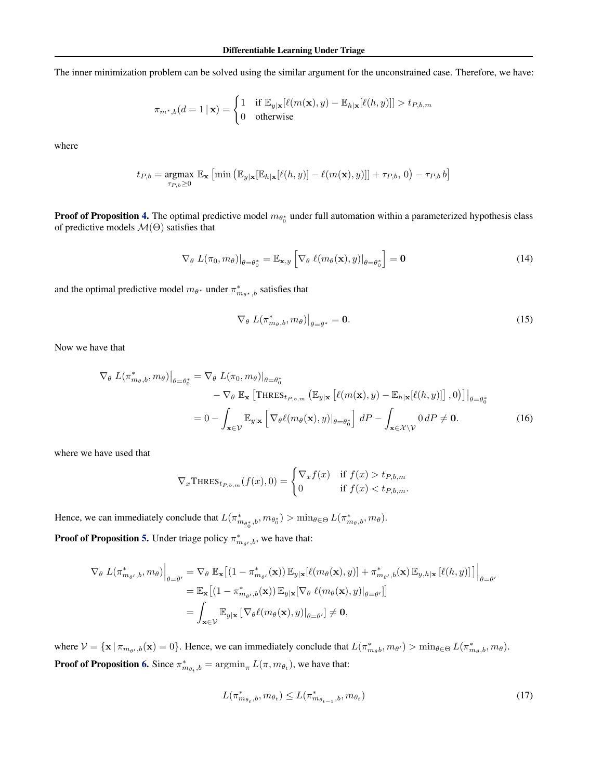<span id="page-1-0"></span>The inner minimization problem can be solved using the similar argument for the unconstrained case. Therefore, we have:

$$
\pi_{m^*,b}(d=1\,|\,\mathbf{x}) = \begin{cases} 1 & \text{if } \mathbb{E}_{y|\mathbf{x}}[\ell(m(\mathbf{x}),y) - \mathbb{E}_{h|\mathbf{x}}[\ell(h,y)]] > t_{P,b,m} \\ 0 & \text{otherwise} \end{cases}
$$

where

$$
t_{P,b} = \underset{\tau_{P,b} \ge 0}{\operatorname{argmax}} \ \mathbb{E}_{\mathbf{x}} \left[ \min \left( \mathbb{E}_{y|\mathbf{x}}[\mathbb{E}_{h|\mathbf{x}}[\ell(h,y)] - \ell(m(\mathbf{x}),y)] \right] + \tau_{P,b}, 0 \right) - \tau_{P,b} b \right]
$$

**Proof of Proposition 4.** The optimal predictive model  $m_{\theta_0^*}$  under full automation within a parameterized hypothesis class of predictive models  $\mathcal{M}(\Theta)$  satisfies that

$$
\nabla_{\theta} L(\pi_0, m_{\theta})|_{\theta = \theta_0^*} = \mathbb{E}_{\mathbf{x}, y} \left[ \nabla_{\theta} \ell(m_{\theta}(\mathbf{x}), y)|_{\theta = \theta_0^*} \right] = \mathbf{0}
$$
\n(14)

and the optimal predictive model  $m_{\theta^*}$  under  $\pi^*_{m_{\theta^*},b}$  satisfies that

$$
\nabla_{\theta} L(\pi_{m_{\theta},b}^*, m_{\theta})\big|_{\theta=\theta^*} = \mathbf{0}.
$$
 (15)

Now we have that

$$
\nabla_{\theta} L(\pi_{m_{\theta},b}^{*}, m_{\theta})|_{\theta = \theta_{0}^{*}} = \nabla_{\theta} L(\pi_{0}, m_{\theta})|_{\theta = \theta_{0}^{*}} - \nabla_{\theta} \mathbb{E}_{\mathbf{x}} \left[ \text{THRES}_{t_{P,b,m}} \left( \mathbb{E}_{y|\mathbf{x}} \left[ \ell(m(\mathbf{x}), y) - \mathbb{E}_{h|\mathbf{x}} [\ell(h, y)] \right], 0 \right) \right]|_{\theta = \theta_{0}^{*}} - \int_{\mathbf{x} \in \mathcal{V}} \mathbb{E}_{y|\mathbf{x}} \left[ \nabla_{\theta} \ell(m_{\theta}(\mathbf{x}), y)|_{\theta = \theta_{0}^{*}} \right] dP - \int_{\mathbf{x} \in \mathcal{X} \setminus \mathcal{V}} 0 dP \neq \mathbf{0}.
$$
 (16)

where we have used that

$$
\nabla_x \text{THRES}_{t_{P,b,m}}(f(x), 0) = \begin{cases} \nabla_x f(x) & \text{if } f(x) > t_{P,b,m} \\ 0 & \text{if } f(x) < t_{P,b,m} \end{cases}
$$

Hence, we can immediately conclude that  $L(\pi^*_{m_{\theta_0^*},b}, m_{\theta_0^*}) > \min_{\theta \in \Theta} L(\pi^*_{m_{\theta},b}, m_{\theta})$ .

**Proof of Proposition 5.** Under triage policy  $\pi^*_{m_{\theta'},b}$ , we have that:

$$
\nabla_{\theta} L(\pi_{m_{\theta'},b}^{*}, m_{\theta})\Big|_{\theta=\theta'} = \nabla_{\theta} \mathbb{E}_{\mathbf{x}} \big[ (1-\pi_{m_{\theta'}}^{*}(\mathbf{x})) \mathbb{E}_{y|\mathbf{x}}[\ell(m_{\theta}(\mathbf{x}), y)] + \pi_{m_{\theta'},b}^{*}(\mathbf{x}) \mathbb{E}_{y,h|\mathbf{x}}[\ell(h, y)] \big] \Big|_{\theta=\theta'}\n= \mathbb{E}_{\mathbf{x}} \big[ (1-\pi_{m_{\theta'},b}^{*}(\mathbf{x})) \mathbb{E}_{y|\mathbf{x}} [\nabla_{\theta} \ell(m_{\theta}(\mathbf{x}), y)|_{\theta=\theta'}] \big] \n= \int_{\mathbf{x}\in\mathcal{V}} \mathbb{E}_{y|\mathbf{x}} [\nabla_{\theta} \ell(m_{\theta}(\mathbf{x}), y)|_{\theta=\theta'}] \neq \mathbf{0},
$$

where  $V = {\mathbf{x} | \pi_{m_{\theta'},b}(\mathbf{x}) = 0}$ . Hence, we can immediately conclude that  $L(\pi^*_{m_{\theta}b}, m_{\theta'}) > \min_{\theta \in \Theta} L(\pi^*_{m_{\theta},b}, m_{\theta})$ . **Proof of Proposition 6.** Since  $\pi^*_{m_{\theta_t},b} = \operatorname{argmin}_{\pi} L(\pi, m_{\theta_t})$ , we have that:

$$
L(\pi_{m_{\theta_t},b}^*, m_{\theta_t}) \le L(\pi_{m_{\theta_{t-1}},b}^*, m_{\theta_t})
$$
\n(17)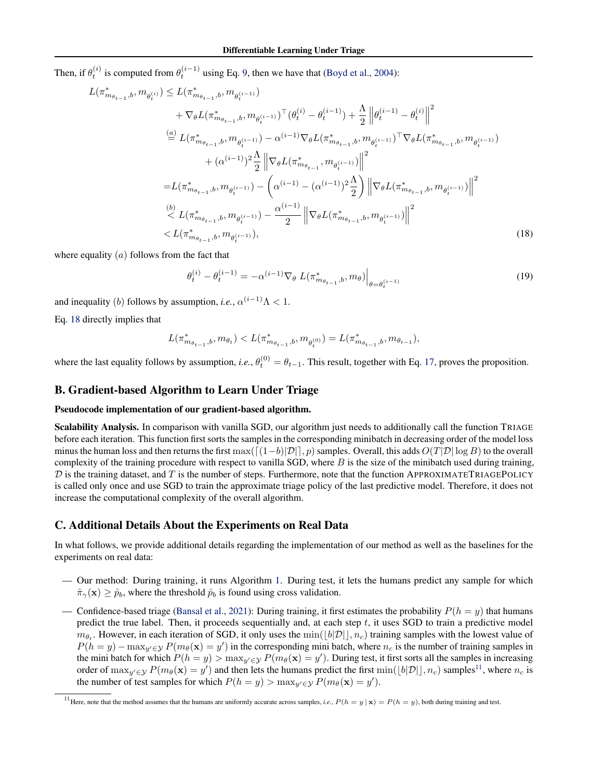Then, if  $\theta_t^{(i)}$  is computed from  $\theta_t^{(i-1)}$  using Eq. 9, then we have that (Boyd et al., 2004):

$$
L(\pi_{m_{\theta_{t-1}},b}^{*}, m_{\theta_{t}^{(i)}}) \leq L(\pi_{m_{\theta_{t-1}},b}^{*}, m_{\theta_{t}^{(i-1)}})
$$
  
+  $\nabla_{\theta}L(\pi_{m_{\theta_{t-1}},b}^{*}, m_{\theta_{t}^{(i-1)}})^{\top}(\theta_{t}^{(i)} - \theta_{t}^{(i-1)}) + \frac{\Lambda}{2} ||\theta_{t}^{(i-1)} - \theta_{t}^{(i)}||^{2}$   

$$
\stackrel{(a)}{=} L(\pi_{m_{\theta_{t-1}},b}^{*}, m_{\theta_{t}^{(i-1)}}) - \alpha^{(i-1)}\nabla_{\theta}L(\pi_{m_{\theta_{t-1}},b}^{*}, m_{\theta_{t}^{(i-1)}})^{\top}\nabla_{\theta}L(\pi_{m_{\theta_{t-1}},b}^{*}, m_{\theta_{t}^{(i-1)}})
$$

$$
+ (\alpha^{(i-1)})^{2} \frac{\Lambda}{2} ||\nabla_{\theta}L(\pi_{m_{\theta_{t-1}}}^{*}, m_{\theta_{t}^{(i-1)}})||^{2}
$$

$$
= L(\pi_{m_{\theta_{t-1}},b}^{*}, m_{\theta_{t}^{(i-1)}}) - (\alpha^{(i-1)} - (\alpha^{(i-1)})^{2} \frac{\Lambda}{2}) ||\nabla_{\theta}L(\pi_{m_{\theta_{t-1}},b}^{*}, m_{\theta_{t}^{(i-1)}})||^{2}
$$

$$
\stackrel{(b)}{\leq} L(\pi_{m_{\theta_{t-1}},b}^{*}, m_{\theta_{t}^{(i-1)}}) - \frac{\alpha^{(i-1)}}{2} ||\nabla_{\theta}L(\pi_{m_{\theta_{t-1}},b}^{*}, m_{\theta_{t}^{(i-1)}})||^{2}
$$

$$
< L(\pi_{m_{\theta_{t-1}},b}^{*}, m_{\theta_{t}^{(i-1)}}), \qquad (18)
$$

where equality  $(a)$  follows from the fact that

$$
\theta_t^{(i)} - \theta_t^{(i-1)} = -\alpha^{(i-1)} \nabla_{\theta} L(\pi^*_{m_{\theta_{t-1}},b}, m_{\theta}) \Big|_{\theta = \theta_t^{(i-1)}}
$$
(19)

and inequality (b) follows by assumption, *i.e.*,  $\alpha^{(i-1)}\Lambda < 1$ .

Eq. 18 directly implies that

$$
L(\pi_{m_{\theta_{t-1}},b}^*, m_{\theta_t}) < L(\pi_{m_{\theta_{t-1}},b}^*, m_{\theta_t^{(0)}}) = L(\pi_{m_{\theta_{t-1}},b}^*, m_{\theta_{t-1}}),
$$

where the last equality follows by assumption, *i.e.*,  $\theta_t^{(0)} = \theta_{t-1}$ . This result, together with Eq. [17,](#page-1-0) proves the proposition.

### B. Gradient-based Algorithm to Learn Under Triage

#### Pseudocode implementation of our gradient-based algorithm.

Scalability Analysis. In comparison with vanilla SGD, our algorithm just needs to additionally call the function TRIAGE before each iteration. This function first sorts the samples in the corresponding minibatch in decreasing order of the model loss minus the human loss and then returns the first max( $\left[\frac{(1-b)|\mathcal{D}|}{p}$ , p) samples. Overall, this adds  $O(T|\mathcal{D}| \log B)$  to the overall complexity of the training procedure with respect to vanilla SGD, where  $B$  is the size of the minibatch used during training,  $D$  is the training dataset, and  $T$  is the number of steps. Furthermore, note that the function APPROXIMATETRIAGEPOLICY is called only once and use SGD to train the approximate triage policy of the last predictive model. Therefore, it does not increase the computational complexity of the overall algorithm.

### C. Additional Details About the Experiments on Real Data

In what follows, we provide additional details regarding the implementation of our method as well as the baselines for the experiments on real data:

- Our method: During training, it runs Algorithm [1.](#page-3-0) During test, it lets the humans predict any sample for which  $\hat{\pi}_{\gamma}(\mathbf{x}) \geq \hat{p}_b$ , where the threshold  $\hat{p}_b$  is found using cross validation.
- Confidence-based triage (Bansal et al., 2021): During training, it first estimates the probability  $P(h = y)$  that humans predict the true label. Then, it proceeds sequentially and, at each step  $t$ , it uses SGD to train a predictive model  $m_{\theta_t}$ . However, in each iteration of SGD, it only uses the  $\min(\lfloor b|\mathcal{D}| \rfloor, n_c)$  training samples with the lowest value of  $P(h = y) - \max_{y' \in \mathcal{Y}} P(m_\theta(\mathbf{x}) = y')$  in the corresponding mini batch, where  $n_c$  is the number of training samples in the mini batch for which  $P(h = y) > \max_{y' \in \mathcal{Y}} P(m_\theta(\mathbf{x}) = y')$ . During test, it first sorts all the samples in increasing order of  $\max_{y' \in \mathcal{Y}} P(m_{\theta}(\mathbf{x}) = y')$  and then lets the humans predict the first  $\min(|b|\mathcal{D}|, n_c)$  samples<sup>11</sup>, where  $n_c$  is the number of test samples for which  $P(h = y) > \max_{y' \in \mathcal{Y}} P(m_\theta(\mathbf{x}) = y')$ .

<sup>&</sup>lt;sup>11</sup>Here, note that the method assumes that the humans are uniformly accurate across samples, *i.e.*,  $P(h = y | \mathbf{x}) = P(h = y)$ , both during training and test.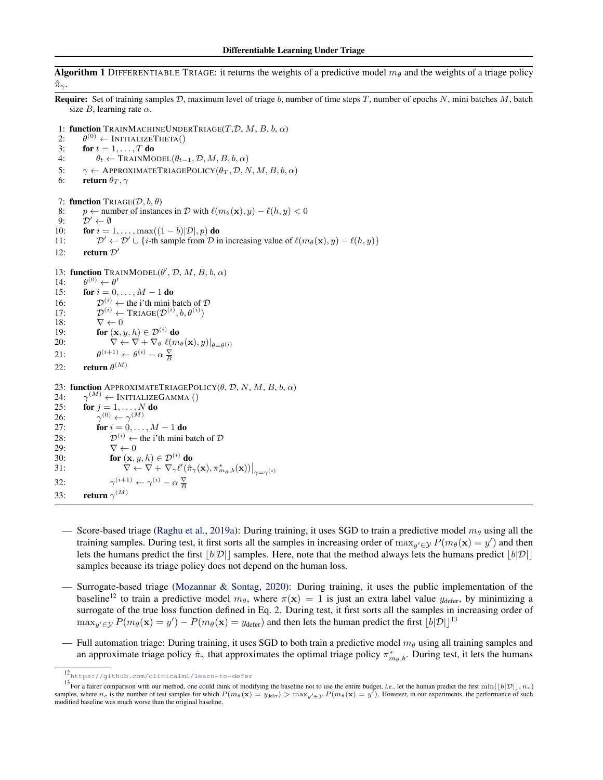<span id="page-3-0"></span>**Algorithm 1** DIFFERENTIABLE TRIAGE: it returns the weights of a predictive model  $m_\theta$  and the weights of a triage policy  $\hat{\pi}_{\gamma}$ . **Require:** Set of training samples  $D$ , maximum level of triage  $b$ , number of time steps  $T$ , number of epochs  $N$ , mini batches  $M$ , batch size B, learning rate  $\alpha$ . 1: function TRAINMACHINEUNDERTRIAGE $(T,D, M, B, b, \alpha)$ 2:  $\theta^{(0)} \leftarrow \text{INITIALIZETHEN}()$ 3: for  $t = 1, \ldots, T$  do 4:  $\theta_t \leftarrow \text{TRAINMODEL}(\theta_{t-1}, \mathcal{D}, M, B, b, \alpha)$ 5:  $\gamma \leftarrow$  APPROXIMATETRIAGEPOLICY( $\theta_T$ , D, N, M, B, b,  $\alpha$ ) 6: **return**  $\theta_T$ ,  $\gamma$ 7: function TRIAGE( $\mathcal{D}, b, \theta$ ) 8: *p* ← number of instances in *D* with  $\ell(m_\theta(\mathbf{x}), y) - \ell(h, y) < 0$  $9:$  $D' \leftarrow \emptyset$ 10: **for**  $i = 1, \ldots, \max((1-b)|\mathcal{D}|, p)$  do  $11:$  $\mathcal{D}' \leftarrow \mathcal{D}' \cup \{i$ -th sample from  $\mathcal D$  in increasing value of  $\ell(m_\theta(\mathbf{x}), y) - \ell(h, y)\}$ 12: return  $\mathcal{D}'$ 13: function TRAINMODEL( $\theta'$ ,  $\mathcal{D}$ ,  $M$ ,  $B$ ,  $b$ ,  $\alpha$ )  $\frac{14}{15}$ :  $(0) \leftarrow \theta'$ for  $i = 0, \ldots, M - 1$  do 16:  $\mathcal{D}^{(i)} \leftarrow$  the i'th mini batch of  $\mathcal{D}$  $17:$  $(0^{(i)} \leftarrow \text{TRIAGE}(\mathcal{D}^{(i)}, b, \theta^{(i)})$ 18:  $\nabla \leftarrow 0$ 19: **for**  $(\mathbf{x}, y, h) \in \mathcal{D}^{(i)}$  do 20:  $\qquad \nabla \leftarrow \nabla + \nabla_{\theta} \, \ell(m_{\theta}(\mathbf{x}), y)|_{\theta = \theta^{(i)}}$ <br>
21:  $\qquad \theta^{(i+1)} \leftarrow \theta^{(i)} - \alpha \, \frac{\nabla}{B}$  $21:$ 22: **return**  $\theta^{(M)}$ 23: function APPROXIMATETRIAGEPOLICY( $\theta$ ,  $D$ ,  $N$ ,  $M$ ,  $B$ ,  $b$ ,  $\alpha$ )  $24:$  $\gamma^{(M)} \leftarrow \text{INITIALIZEGAMMA } ()$ 25: **for**  $j = 1, ..., N$  **do** 26:  $(0)$   $\leftarrow$   $\gamma^{(M)}$ 27: **for**  $i = 0, ..., M - 1$  **do** 28:  $\mathcal{D}^{(i)} \leftarrow$  the i'th mini batch of  $\mathcal{D}$ 29:  $\nabla \leftarrow 0$ 30: **for**  $(\mathbf{x}, y, h) \in \mathcal{D}^{(i)}$  do 31:  $\overleftrightarrow{\nabla} \leftarrow \overrightarrow{\nabla} + \nabla_{\gamma} \ell'(\hat{\pi}_{\gamma}(\mathbf{x}), \pi^*_{m_\theta, b}(\mathbf{x}))\big|_{\gamma = \gamma^{(i)}}$ 32:  $(i+1) \leftarrow \gamma^{(i)} - \alpha \frac{\nabla}{B}$ 33: return  $\gamma^{(M)}$ 

- Score-based triage (Raghu et al., 2019a): During training, it uses SGD to train a predictive model  $m_\theta$  using all the training samples. During test, it first sorts all the samples in increasing order of  $\max_{y' \in \mathcal{Y}} P(m_\theta(\mathbf{x}) = y')$  and then lets the humans predict the first  $|b|\mathcal{D}||$  samples. Here, note that the method always lets the humans predict  $|b|\mathcal{D}||$ samples because its triage policy does not depend on the human loss.
- Surrogate-based triage (Mozannar & Sontag, 2020): During training, it uses the public implementation of the baseline<sup>12</sup> to train a predictive model  $m_{\theta}$ , where  $\pi(\mathbf{x}) = 1$  is just an extra label value  $y_{\text{defer}}$ , by minimizing a surrogate of the true loss function defined in Eq. 2. During test, it first sorts all the samples in increasing order of  $\max_{y' \in \mathcal{Y}} P(m_\theta(\mathbf{x}) = y') - P(m_\theta(\mathbf{x}) = y_{\text{defer}})$  and then lets the human predict the first  $\lfloor b|\mathcal{D}| \rfloor^{13}$
- Full automation triage: During training, it uses SGD to both train a predictive model  $m_\theta$  using all training samples and an approximate triage policy  $\hat{\pi}_{\gamma}$  that approximates the optimal triage policy  $\pi_{m_\theta,b}^*$ . During test, it lets the humans

<sup>12</sup><https://github.com/clinicalml/learn-to-defer>

<sup>&</sup>lt;sup>13</sup>For a fairer comparison with our method, one could think of modifying the baseline not to use the entire budget, *i.e.*, let the human predict the first min( $\lfloor b|\mathcal{D}| \rfloor$ ,  $n_c$ ) samples, where  $n_c$  is the number of test samples for which  $P(m_\theta(\mathbf{x}) = y_{\text{defer}}) > \max_{y' \in \mathcal{Y}} P(m_\theta(\mathbf{x}) = y')$ . However, in our experiments, the performance of such modified baseline was much worse than the original baseline.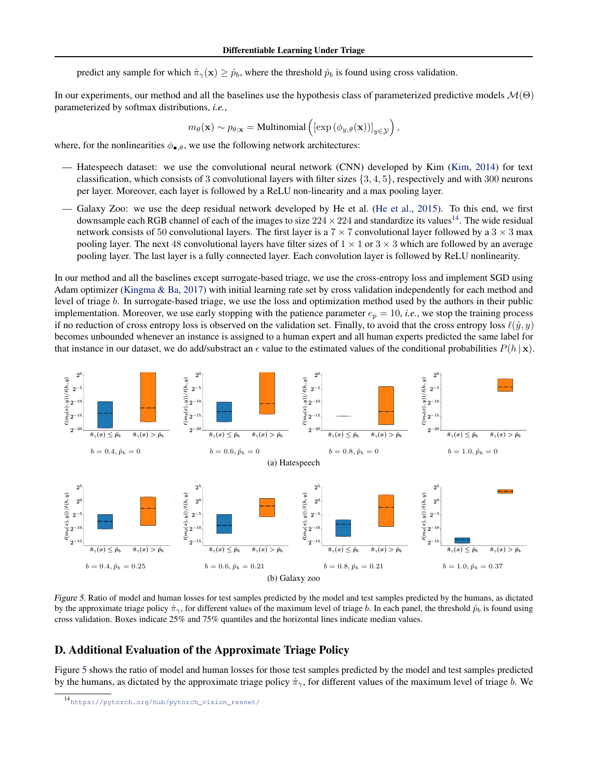predict any sample for which  $\hat{\pi}_{\gamma}(\mathbf{x}) \geq \hat{p}_b$ , where the threshold  $\hat{p}_b$  is found using cross validation.

In our experiments, our method and all the baselines use the hypothesis class of parameterized predictive models  $\mathcal{M}(\Theta)$ parameterized by softmax distributions, *i.e.*,

$$
m_{\theta}(\mathbf{x}) \sim p_{\theta; \mathbf{x}} = \text{Multinomial}\left( \left[ \exp\left( \phi_{y,\theta}(\mathbf{x}) \right) \right]_{y \in \mathcal{Y}} \right),
$$

where, for the nonlinearities  $\phi_{\bullet,\theta}$ , we use the following network architectures:

- Hatespeech dataset: we use the convolutional neural network (CNN) developed by Kim (Kim, 2014) for text classification, which consists of 3 convolutional layers with filter sizes {3, 4, 5}, respectively and with 300 neurons per layer. Moreover, each layer is followed by a ReLU non-linearity and a max pooling layer.
- Galaxy Zoo: we use the deep residual network developed by He et al. (He et al., 2015). To this end, we first downsample each RGB channel of each of the images to size  $224 \times 224$  and standardize its values<sup>14</sup>. The wide residual network consists of 50 convolutional layers. The first layer is a  $7 \times 7$  convolutional layer followed by a  $3 \times 3$  max pooling layer. The next 48 convolutional layers have filter sizes of  $1 \times 1$  or  $3 \times 3$  which are followed by an average pooling layer. The last layer is a fully connected layer. Each convolution layer is followed by ReLU nonlinearity.

In our method and all the baselines except surrogate-based triage, we use the cross-entropy loss and implement SGD using Adam optimizer (Kingma & Ba, 2017) with initial learning rate set by cross validation independently for each method and level of triage b. In surrogate-based triage, we use the loss and optimization method used by the authors in their public implementation. Moreover, we use early stopping with the patience parameter  $e_p = 10$ , *i.e.*, we stop the training process if no reduction of cross entropy loss is observed on the validation set. Finally, to avoid that the cross entropy loss  $\ell(\hat{y}, y)$ becomes unbounded whenever an instance is assigned to a human expert and all human experts predicted the same label for that instance in our dataset, we do add/substract an  $\epsilon$  value to the estimated values of the conditional probabilities  $P(h | x)$ .



Figure 5. Ratio of model and human losses for test samples predicted by the model and test samples predicted by the humans, as dictated by the approximate triage policy  $\hat{\pi}_{\gamma}$ , for different values of the maximum level of triage b. In each panel, the threshold  $\hat{p}_b$  is found using cross validation. Boxes indicate 25% and 75% quantiles and the horizontal lines indicate median values.

# D. Additional Evaluation of the Approximate Triage Policy

Figure 5 shows the ratio of model and human losses for those test samples predicted by the model and test samples predicted by the humans, as dictated by the approximate triage policy  $\hat{\pi}_{\gamma}$ , for different values of the maximum level of triage b. We

<sup>14</sup>[https://pytorch.org/hub/pytorch\\_vision\\_resnet/](https://pytorch.org/hub/pytorch_vision_resnet/)